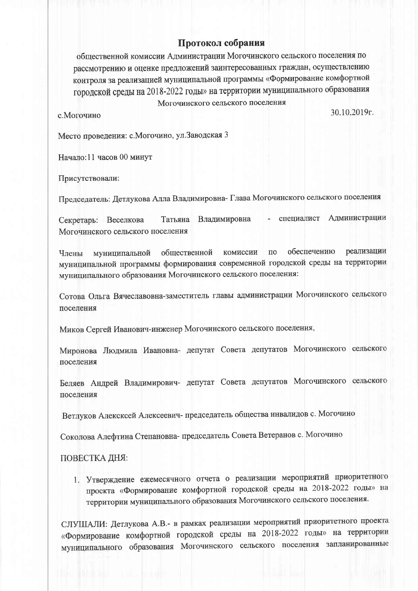## Протокол собрания

общественной комиссии Администрации Могочинского сельского поселения по рассмотрению и оценке предложений заинтересованных граждан, осуществлению контроля за реализацией муниципальной программы «Формирование комфортной городской среды на 2018-2022 годы» на территории муниципального образования Могочинского сельского поселения

с. Могочино

30.10.2019г.

Место проведения: с. Могочино, ул. Заводская 3

Начало:11 часов 00 минут

Присутствовали:

Председатель: Детлукова Алла Владимировна- Глава Могочинского сельского поселения

специалист Администрации Татьяна Владимировна Секретарь: Веселкова Могочинского сельского поселения

обеспечению реализации муниципальной общественной комиссии  $\Pi$ <sup>O</sup> Члены муниципальной программы формирования современной городской среды на территории муниципального образования Могочинского сельского поселения:

Сотова Ольга Вячеславовна-заместитель главы администрации Могочинского сельского поселения

Миков Сергей Иванович-инженер Могочинского сельского поселения,

Миронова Людмила Ивановна- депутат Совета депутатов Могочинского сельского поселения

Беляев Андрей Владимирович- депутат Совета депутатов Могочинского сельского поселения

Ветлуков Алексксей Алексеевич- председатель общества инвалидов с. Могочино

Соколова Алефтина Степановна-председатель Совета Ветеранов с. Могочино

## ПОВЕСТКА ДНЯ:

1. Утверждение ежемесячного отчета о реализации мероприятий приоритетного проекта «Формирование комфортной городской среды на 2018-2022 годы» на территории муниципального образования Могочинского сельского поселения.

СЛУШАЛИ: Детлукова А.В.- в рамках реализации мероприятий приоритетного проекта «Формирование комфортной городской среды на 2018-2022 годы» на территории муниципального образования Могочинского сельского поселения запланированные